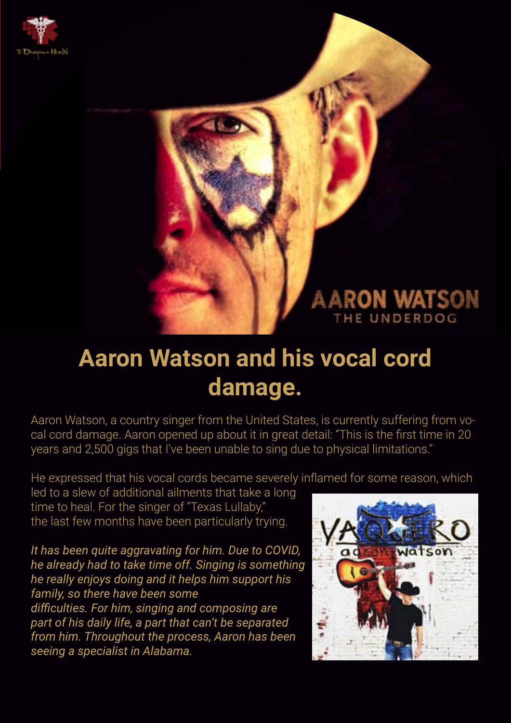

## **ARON WATSON** THE UNDERDOG

## **Aaron Watson and his vocal cord damage.**

Aaron Watson, a country singer from the United States, is currently suffering from vocal cord damage. Aaron opened up about it in great detail: "This is the first time in 20 years and 2,500 gigs that I've been unable to sing due to physical limitations."

He expressed that his vocal cords became severely inflamed for some reason, which

led to a slew of additional ailments that take a long time to heal. For the singer of "Texas Lullaby," the last few months have been particularly trying.

*It has been quite aggravating for him. Due to COVID, he already had to take time off. Singing is something he really enjoys doing and it helps him support his family, so there have been some difficulties. For him, singing and composing are part of his daily life, a part that can't be separated from him. Throughout the process, Aaron has been seeing a specialist in Alabama.*